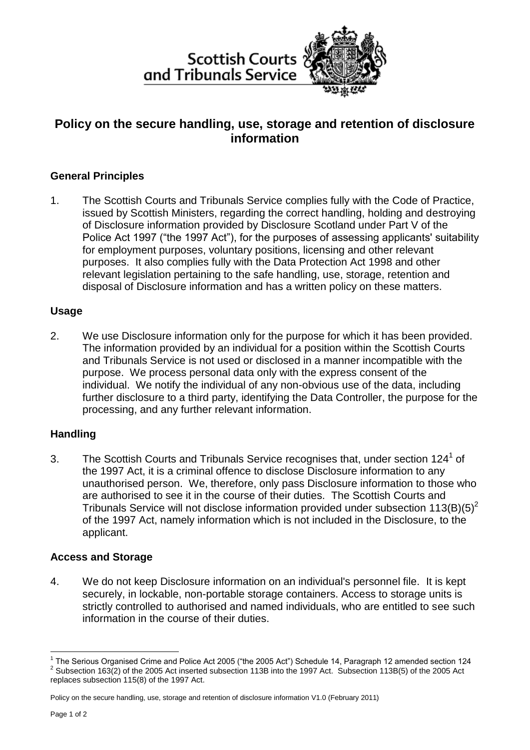



# **Policy on the secure handling, use, storage and retention of disclosure information**

## **General Principles**

1. The Scottish Courts and Tribunals Service complies fully with the Code of Practice, issued by Scottish Ministers, regarding the correct handling, holding and destroying of Disclosure information provided by Disclosure Scotland under Part V of the Police Act 1997 ("the 1997 Act"), for the purposes of assessing applicants' suitability for employment purposes, voluntary positions, licensing and other relevant purposes. It also complies fully with the Data Protection Act 1998 and other relevant legislation pertaining to the safe handling, use, storage, retention and disposal of Disclosure information and has a written policy on these matters.

## **Usage**

2. We use Disclosure information only for the purpose for which it has been provided. The information provided by an individual for a position within the Scottish Courts and Tribunals Service is not used or disclosed in a manner incompatible with the purpose. We process personal data only with the express consent of the individual. We notify the individual of any non-obvious use of the data, including further disclosure to a third party, identifying the Data Controller, the purpose for the processing, and any further relevant information.

## **Handling**

3. The Scottish Courts and Tribunals Service recognises that, under section  $124<sup>1</sup>$  of the 1997 Act, it is a criminal offence to disclose Disclosure information to any unauthorised person. We, therefore, only pass Disclosure information to those who are authorised to see it in the course of their duties. The Scottish Courts and Tribunals Service will not disclose information provided under subsection  $113(B)(5)^2$ of the 1997 Act, namely information which is not included in the Disclosure, to the applicant.

## **Access and Storage**

4. We do not keep Disclosure information on an individual's personnel file. It is kept securely, in lockable, non-portable storage containers. Access to storage units is strictly controlled to authorised and named individuals, who are entitled to see such information in the course of their duties.

1

<sup>&</sup>lt;sup>1</sup> The Serious Organised Crime and Police Act 2005 ("the 2005 Act") Schedule 14, Paragraph 12 amended section 124  $2$  Subsection 163(2) of the 2005 Act inserted subsection 113B into the 1997 Act. Subsection 113B(5) of the 2005 Act replaces subsection 115(8) of the 1997 Act.

Policy on the secure handling, use, storage and retention of disclosure information V1.0 (February 2011)